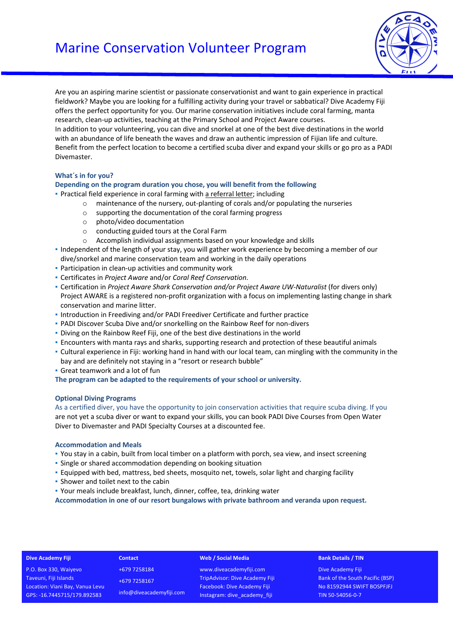# Marine Conservation Volunteer Program



Are you an aspiring marine scientist or passionate conservationist and want to gain experience in practical fieldwork? Maybe you are looking for a fulfilling activity during your travel or sabbatical? Dive Academy Fiji offers the perfect opportunity for you. Our marine conservation initiatives include coral farming, manta research, clean-up activities, teaching at the Primary School and Project Aware courses. In addition to your volunteering, you can dive and snorkel at one of the best dive destinations in the world with an abundance of life beneath the waves and draw an authentic impression of Fijian life and culture. Benefit from the perfect location to become a certified scuba diver and expand your skills or go pro as a PADI Divemaster.

## **What´s in for you?**

#### **Depending on the program duration you chose, you will benefit from the following**

- Practical field experience in coral farming with a referral letter; including
	- o maintenance of the nursery, out-planting of corals and/or populating the nurseries
	- o supporting the documentation of the coral farming progress
	- o photo/video documentation
	- o conducting guided tours at the Coral Farm
	- o Accomplish individual assignments based on your knowledge and skills
- Independent of the length of your stay, you will gather work experience by becoming a member of our dive/snorkel and marine conservation team and working in the daily operations
- Participation in clean-up activities and community work
- Certificates in *Project Aware* and/or *Coral Reef Conservation*.
- Certification in *Project Aware Shark Conservation and/or Project Aware UW-Naturalist* (for divers only) Project AWARE is a registered non-profit organization with a focus on implementing lasting change in shark conservation and marine litter.
- Introduction in Freediving and/or PADI Freediver Certificate and further practice
- PADI Discover Scuba Dive and/or snorkelling on the Rainbow Reef for non-divers
- Diving on the Rainbow Reef Fiji, one of the best dive destinations in the world
- Encounters with manta rays and sharks, supporting research and protection of these beautiful animals
- Cultural experience in Fiji: working hand in hand with our local team, can mingling with the community in the bay and are definitely not staying in a "resort or research bubble"
- **Great teamwork and a lot of fun**

**The program can be adapted to the requirements of your school or university.**

#### **Optional Diving Programs**

As a certified diver, you have the opportunity to join conservation activities that require scuba diving. If you are not yet a scuba diver or want to expand your skills, you can book PADI Dive Courses from Open Water Diver to Divemaster and PADI Specialty Courses at a discounted fee.

#### **Accommodation and Meals**

- You stay in a cabin, built from local timber on a platform with porch, sea view, and insect screening
- **Single or shared accommodation depending on booking situation**
- **Equipped with bed, mattress, bed sheets, mosquito net, towels, solar light and charging facility**
- **·** Shower and toilet next to the cabin
- Your meals include breakfast, lunch, dinner, coffee, tea, drinking water

**Accommodation in one of our resort bungalows with private bathroom and veranda upon request.**

#### **Dive Academy Fiji Contact Web / Social Media**

P.O. Box 330, Waiyevo Taveuni, Fiji Islands Location: Viani Bay, Vanua Levu GPS: -16.7445715/179.892583

+679 7258184 +679 7258167 info@diveacademyfiji.com

www.diveacademyfiji.com TripAdvisor: Dive Academy Fiji Facebook: Dive Academy Fiji Instagram: dive\_academy\_fiji

#### **Bank Details / TIN**

Dive Academy Fiji Bank of the South Pacific (BSP) No 81592944 SWIFT BOSPFJFJ TIN 50-54056-0-7